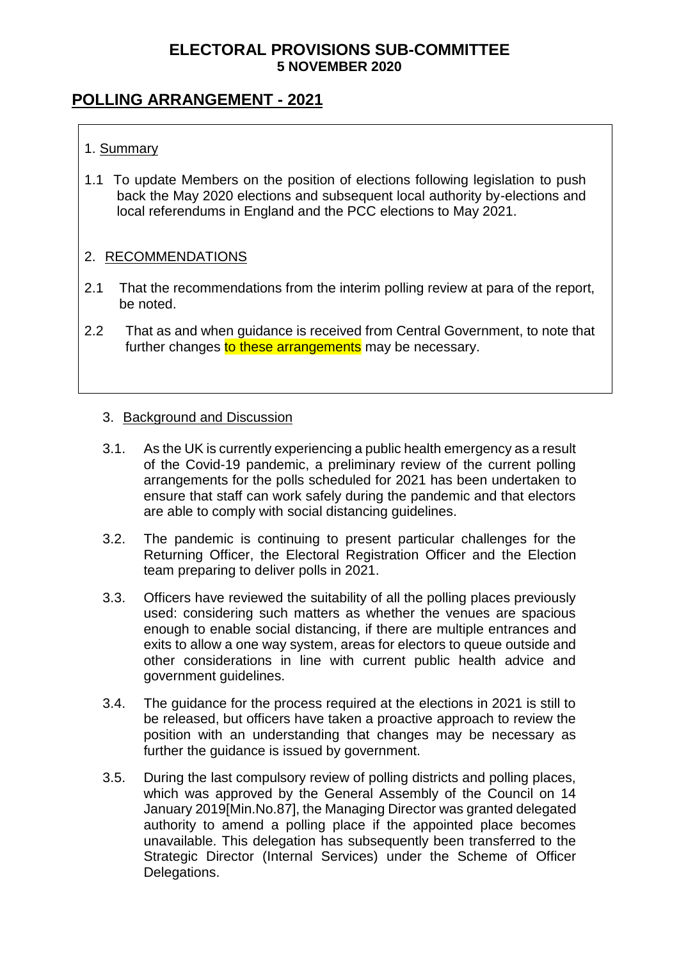## **POLLING ARRANGEMENT - 2021**

#### 1. Summary

1.1 To update Members on the position of elections following legislation to push back the May 2020 elections and subsequent local authority by-elections and local referendums in England and the PCC elections to May 2021.

#### 2. RECOMMENDATIONS

- 2.1 That the recommendations from the interim polling review at para of the report, be noted.
- 2.2 That as and when guidance is received from Central Government, to note that further changes to these arrangements may be necessary.

#### 3. Background and Discussion

- 3.1. As the UK is currently experiencing a public health emergency as a result of the Covid-19 pandemic, a preliminary review of the current polling arrangements for the polls scheduled for 2021 has been undertaken to ensure that staff can work safely during the pandemic and that electors are able to comply with social distancing guidelines.
- 3.2. The pandemic is continuing to present particular challenges for the Returning Officer, the Electoral Registration Officer and the Election team preparing to deliver polls in 2021.
- 3.3. Officers have reviewed the suitability of all the polling places previously used: considering such matters as whether the venues are spacious enough to enable social distancing, if there are multiple entrances and exits to allow a one way system, areas for electors to queue outside and other considerations in line with current public health advice and government guidelines.
- 3.4. The guidance for the process required at the elections in 2021 is still to be released, but officers have taken a proactive approach to review the position with an understanding that changes may be necessary as further the guidance is issued by government.
- 3.5. During the last compulsory review of polling districts and polling places, which was approved by the General Assembly of the Council on 14 January 2019[Min.No.87], the Managing Director was granted delegated authority to amend a polling place if the appointed place becomes unavailable. This delegation has subsequently been transferred to the Strategic Director (Internal Services) under the Scheme of Officer Delegations.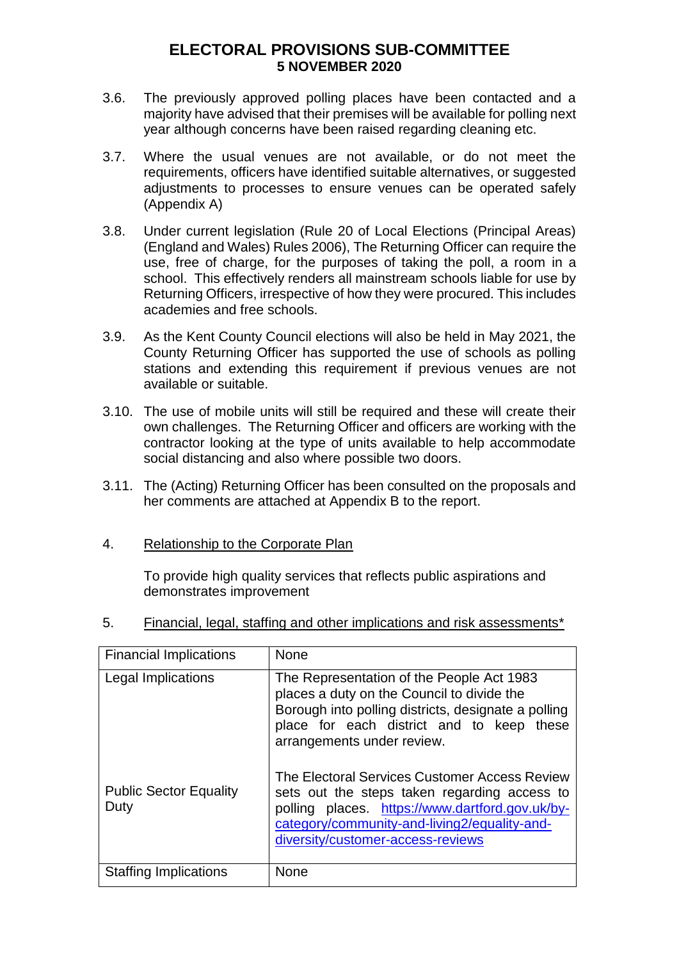- 3.6. The previously approved polling places have been contacted and a majority have advised that their premises will be available for polling next year although concerns have been raised regarding cleaning etc.
- 3.7. Where the usual venues are not available, or do not meet the requirements, officers have identified suitable alternatives, or suggested adjustments to processes to ensure venues can be operated safely (Appendix A)
- 3.8. Under current legislation (Rule 20 of Local Elections (Principal Areas) (England and Wales) Rules 2006), The Returning Officer can require the use, free of charge, for the purposes of taking the poll, a room in a school. This effectively renders all mainstream schools liable for use by Returning Officers, irrespective of how they were procured. This includes academies and free schools.
- 3.9. As the Kent County Council elections will also be held in May 2021, the County Returning Officer has supported the use of schools as polling stations and extending this requirement if previous venues are not available or suitable.
- 3.10. The use of mobile units will still be required and these will create their own challenges. The Returning Officer and officers are working with the contractor looking at the type of units available to help accommodate social distancing and also where possible two doors.
- 3.11. The (Acting) Returning Officer has been consulted on the proposals and her comments are attached at Appendix B to the report.

#### 4. Relationship to the Corporate Plan

To provide high quality services that reflects public aspirations and demonstrates improvement

5. Financial, legal, staffing and other implications and risk assessments\*

| <b>Financial Implications</b>         | <b>None</b>                                                                                                                                                                                                                           |
|---------------------------------------|---------------------------------------------------------------------------------------------------------------------------------------------------------------------------------------------------------------------------------------|
| Legal Implications                    | The Representation of the People Act 1983<br>places a duty on the Council to divide the<br>Borough into polling districts, designate a polling<br>place for each district and to keep these<br>arrangements under review.             |
| <b>Public Sector Equality</b><br>Duty | The Electoral Services Customer Access Review<br>sets out the steps taken regarding access to<br>polling places. https://www.dartford.gov.uk/by-<br>category/community-and-living2/equality-and-<br>diversity/customer-access-reviews |
| <b>Staffing Implications</b>          | <b>None</b>                                                                                                                                                                                                                           |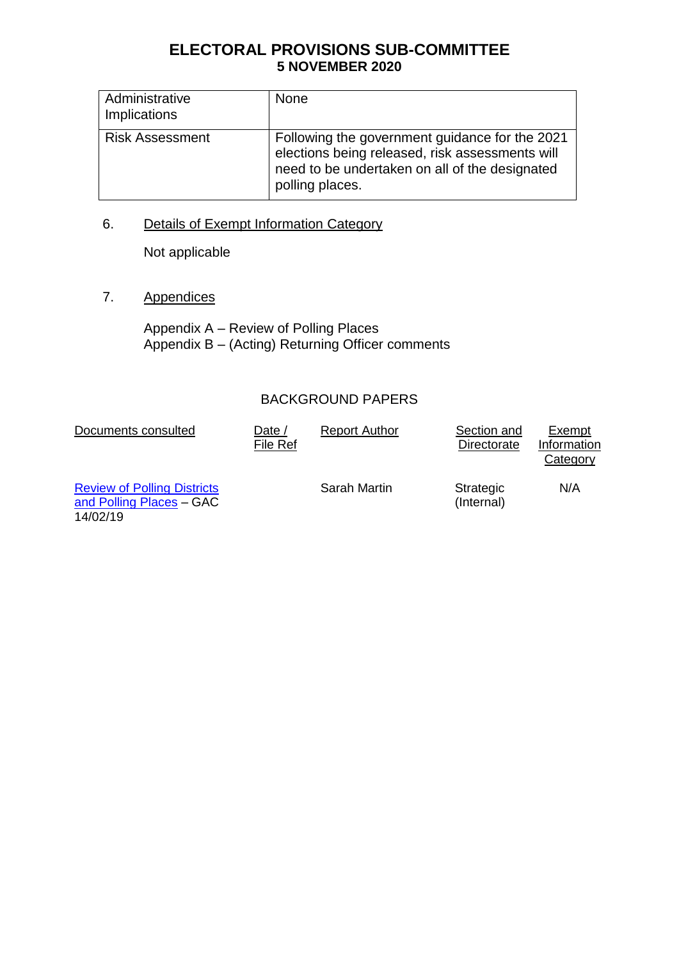| Administrative<br>Implications | <b>None</b>                                                                                                                                                            |
|--------------------------------|------------------------------------------------------------------------------------------------------------------------------------------------------------------------|
| <b>Risk Assessment</b>         | Following the government guidance for the 2021<br>elections being released, risk assessments will<br>need to be undertaken on all of the designated<br>polling places. |

## 6. Details of Exempt Information Category

Not applicable

7. Appendices

Appendix A – Review of Polling Places Appendix B – (Acting) Returning Officer comments

### BACKGROUND PAPERS

| Documents consulted                                                        | Date /<br>File Ref | <b>Report Author</b> | Section and<br>Directorate | Exempt<br>Information<br>Category |
|----------------------------------------------------------------------------|--------------------|----------------------|----------------------------|-----------------------------------|
| <b>Review of Polling Districts</b><br>and Polling Places - GAC<br>14/02/19 |                    | Sarah Martin         | Strategic<br>(Internal)    | N/A                               |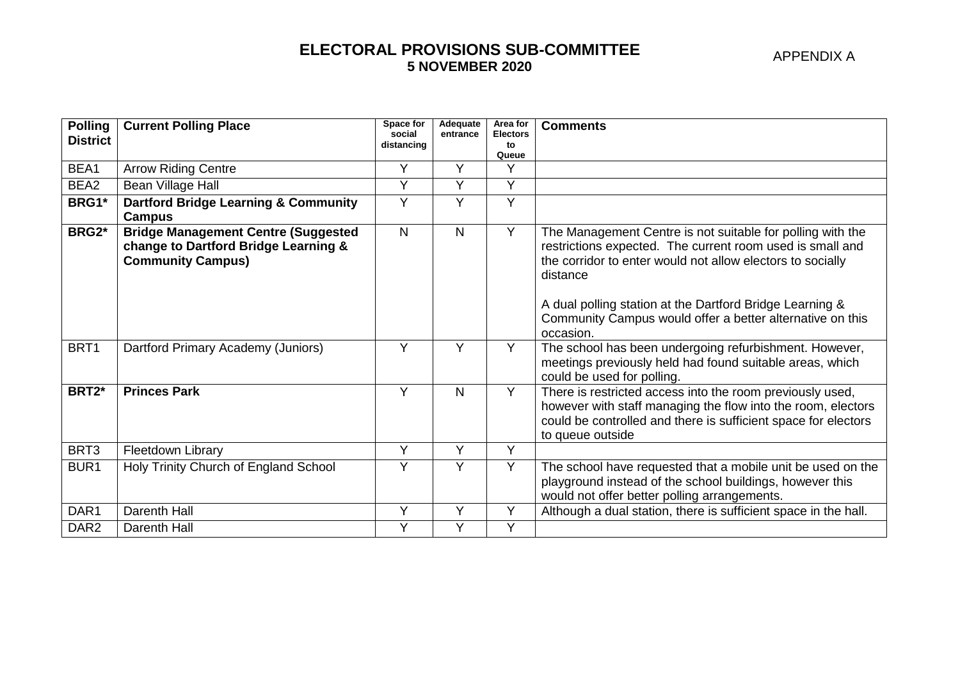| APPENDIX A |  |
|------------|--|
|------------|--|

| <b>Polling</b><br><b>District</b> | <b>Current Polling Place</b>                                                                                   | Space for<br>social<br>distancing | Adequate<br>entrance | Area for<br><b>Electors</b><br>to | <b>Comments</b>                                                                                                                                                                                                                                                                                                            |
|-----------------------------------|----------------------------------------------------------------------------------------------------------------|-----------------------------------|----------------------|-----------------------------------|----------------------------------------------------------------------------------------------------------------------------------------------------------------------------------------------------------------------------------------------------------------------------------------------------------------------------|
|                                   |                                                                                                                |                                   |                      | Queue                             |                                                                                                                                                                                                                                                                                                                            |
| BEA1                              | <b>Arrow Riding Centre</b>                                                                                     | Y                                 | Υ                    | Y                                 |                                                                                                                                                                                                                                                                                                                            |
| BEA2                              | Bean Village Hall                                                                                              | Y                                 | Y                    | Y                                 |                                                                                                                                                                                                                                                                                                                            |
| BRG1*                             | <b>Dartford Bridge Learning &amp; Community</b><br><b>Campus</b>                                               | Y                                 | Y                    | Y                                 |                                                                                                                                                                                                                                                                                                                            |
| BRG2*                             | <b>Bridge Management Centre (Suggested</b><br>change to Dartford Bridge Learning &<br><b>Community Campus)</b> | $\mathsf{N}$                      | N                    | Y                                 | The Management Centre is not suitable for polling with the<br>restrictions expected. The current room used is small and<br>the corridor to enter would not allow electors to socially<br>distance<br>A dual polling station at the Dartford Bridge Learning &<br>Community Campus would offer a better alternative on this |
|                                   |                                                                                                                |                                   |                      |                                   | occasion.                                                                                                                                                                                                                                                                                                                  |
| BRT1                              | Dartford Primary Academy (Juniors)                                                                             | Y                                 | Y                    | Y                                 | The school has been undergoing refurbishment. However,<br>meetings previously held had found suitable areas, which<br>could be used for polling.                                                                                                                                                                           |
| BRT2*                             | <b>Princes Park</b>                                                                                            | Y                                 | N                    | Y                                 | There is restricted access into the room previously used,<br>however with staff managing the flow into the room, electors<br>could be controlled and there is sufficient space for electors<br>to queue outside                                                                                                            |
| BRT3                              | Fleetdown Library                                                                                              | Y                                 | Y                    | Y                                 |                                                                                                                                                                                                                                                                                                                            |
| BUR1                              | Holy Trinity Church of England School                                                                          | Y                                 | Y                    | Y                                 | The school have requested that a mobile unit be used on the<br>playground instead of the school buildings, however this<br>would not offer better polling arrangements.                                                                                                                                                    |
| DAR1                              | Darenth Hall                                                                                                   | Y                                 | Y                    | Y                                 | Although a dual station, there is sufficient space in the hall.                                                                                                                                                                                                                                                            |
| DAR <sub>2</sub>                  | Darenth Hall                                                                                                   | Y                                 | Y                    | Y                                 |                                                                                                                                                                                                                                                                                                                            |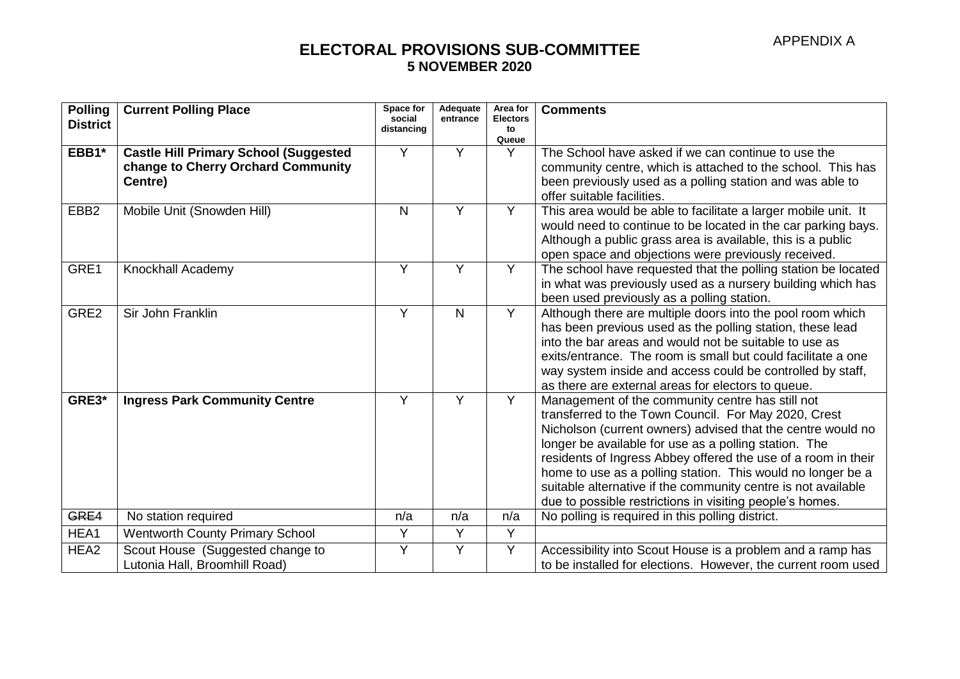| <b>Polling</b><br><b>District</b> | <b>Current Polling Place</b>                                                                  | Space for<br>social<br>distancing | Adequate<br>entrance | Area for<br><b>Electors</b><br>to | <b>Comments</b>                                                                                                                                                                                                                                                                                                                                                                                                                                                                               |
|-----------------------------------|-----------------------------------------------------------------------------------------------|-----------------------------------|----------------------|-----------------------------------|-----------------------------------------------------------------------------------------------------------------------------------------------------------------------------------------------------------------------------------------------------------------------------------------------------------------------------------------------------------------------------------------------------------------------------------------------------------------------------------------------|
|                                   |                                                                                               |                                   |                      | Queue                             |                                                                                                                                                                                                                                                                                                                                                                                                                                                                                               |
| EBB1*                             | <b>Castle Hill Primary School (Suggested</b><br>change to Cherry Orchard Community<br>Centre) | Y                                 | Y                    | Y                                 | The School have asked if we can continue to use the<br>community centre, which is attached to the school. This has<br>been previously used as a polling station and was able to<br>offer suitable facilities.                                                                                                                                                                                                                                                                                 |
| EBB <sub>2</sub>                  | Mobile Unit (Snowden Hill)                                                                    | N                                 | Y                    | Y                                 | This area would be able to facilitate a larger mobile unit. It<br>would need to continue to be located in the car parking bays.<br>Although a public grass area is available, this is a public<br>open space and objections were previously received.                                                                                                                                                                                                                                         |
| GRE1                              | Knockhall Academy                                                                             | Y                                 | Y                    | Y                                 | The school have requested that the polling station be located<br>in what was previously used as a nursery building which has<br>been used previously as a polling station.                                                                                                                                                                                                                                                                                                                    |
| GRE2                              | Sir John Franklin                                                                             | Y                                 | $\mathsf{N}$         | Y                                 | Although there are multiple doors into the pool room which<br>has been previous used as the polling station, these lead<br>into the bar areas and would not be suitable to use as<br>exits/entrance. The room is small but could facilitate a one<br>way system inside and access could be controlled by staff,<br>as there are external areas for electors to queue.                                                                                                                         |
| GRE3*                             | <b>Ingress Park Community Centre</b>                                                          | Y                                 | Y                    | Y                                 | Management of the community centre has still not<br>transferred to the Town Council. For May 2020, Crest<br>Nicholson (current owners) advised that the centre would no<br>longer be available for use as a polling station. The<br>residents of Ingress Abbey offered the use of a room in their<br>home to use as a polling station. This would no longer be a<br>suitable alternative if the community centre is not available<br>due to possible restrictions in visiting people's homes. |
| GRE4                              | No station required                                                                           | n/a                               | n/a                  | n/a                               | No polling is required in this polling district.                                                                                                                                                                                                                                                                                                                                                                                                                                              |
| HEA1                              | <b>Wentworth County Primary School</b>                                                        | Y                                 | Y                    | Y                                 |                                                                                                                                                                                                                                                                                                                                                                                                                                                                                               |
| HEA <sub>2</sub>                  | Scout House (Suggested change to<br>Lutonia Hall, Broomhill Road)                             | Y                                 | Y                    | Y                                 | Accessibility into Scout House is a problem and a ramp has<br>to be installed for elections. However, the current room used                                                                                                                                                                                                                                                                                                                                                                   |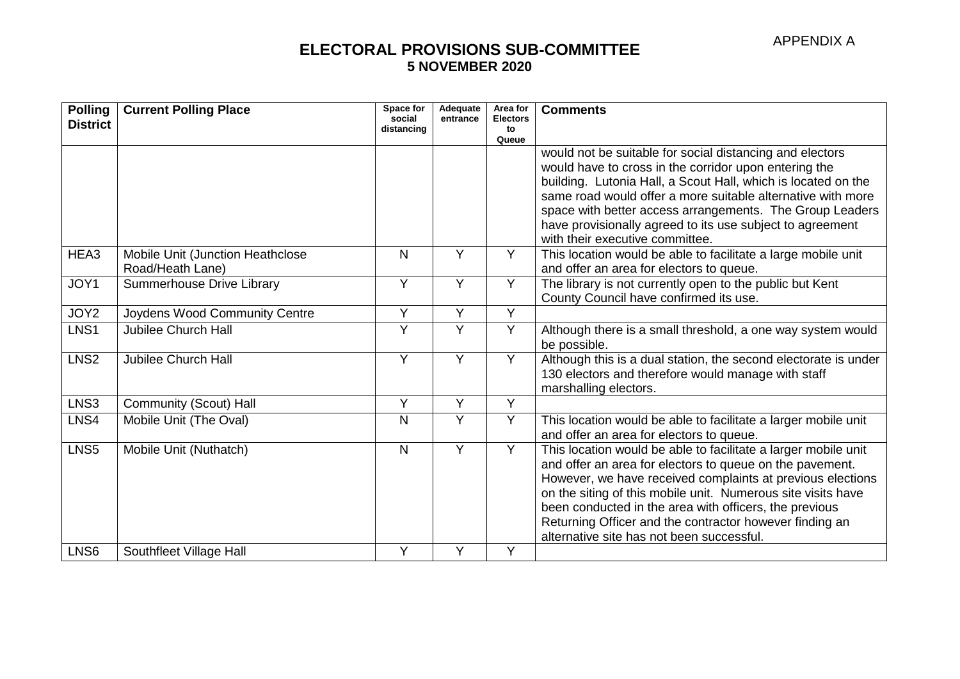| <b>Polling</b><br><b>District</b> | <b>Current Polling Place</b>     | Space for<br>social<br>distancing | Adequate<br>entrance | Area for<br><b>Electors</b><br>to | <b>Comments</b>                                                                              |
|-----------------------------------|----------------------------------|-----------------------------------|----------------------|-----------------------------------|----------------------------------------------------------------------------------------------|
|                                   |                                  |                                   |                      | Queue                             |                                                                                              |
|                                   |                                  |                                   |                      |                                   | would not be suitable for social distancing and electors                                     |
|                                   |                                  |                                   |                      |                                   | would have to cross in the corridor upon entering the                                        |
|                                   |                                  |                                   |                      |                                   | building. Lutonia Hall, a Scout Hall, which is located on the                                |
|                                   |                                  |                                   |                      |                                   | same road would offer a more suitable alternative with more                                  |
|                                   |                                  |                                   |                      |                                   | space with better access arrangements. The Group Leaders                                     |
|                                   |                                  |                                   |                      |                                   | have provisionally agreed to its use subject to agreement<br>with their executive committee. |
| HEA3                              | Mobile Unit (Junction Heathclose | N                                 | Y                    | $\overline{Y}$                    | This location would be able to facilitate a large mobile unit                                |
|                                   | Road/Heath Lane)                 |                                   |                      |                                   | and offer an area for electors to queue.                                                     |
| JOY1                              | Summerhouse Drive Library        | Y                                 | Y                    | Y                                 | The library is not currently open to the public but Kent                                     |
|                                   |                                  |                                   |                      |                                   | County Council have confirmed its use.                                                       |
| JOY2                              | Joydens Wood Community Centre    | Y                                 | Y                    | Y                                 |                                                                                              |
| LNS1                              | <b>Jubilee Church Hall</b>       | Υ                                 | Y                    | Y                                 | Although there is a small threshold, a one way system would                                  |
|                                   |                                  |                                   |                      |                                   | be possible.                                                                                 |
| LNS <sub>2</sub>                  | <b>Jubilee Church Hall</b>       | Y                                 | Y                    | Y                                 | Although this is a dual station, the second electorate is under                              |
|                                   |                                  |                                   |                      |                                   | 130 electors and therefore would manage with staff                                           |
|                                   |                                  |                                   |                      |                                   | marshalling electors.                                                                        |
| LNS3                              | Community (Scout) Hall           | Y                                 | $\overline{Y}$       | $\overline{Y}$                    |                                                                                              |
| LNS4                              | Mobile Unit (The Oval)           | N                                 | Y                    | Y                                 | This location would be able to facilitate a larger mobile unit                               |
|                                   |                                  |                                   |                      |                                   | and offer an area for electors to queue.                                                     |
| LNS <sub>5</sub>                  | Mobile Unit (Nuthatch)           | $\mathsf{N}$                      | Y                    | $\overline{Y}$                    | This location would be able to facilitate a larger mobile unit                               |
|                                   |                                  |                                   |                      |                                   | and offer an area for electors to queue on the pavement.                                     |
|                                   |                                  |                                   |                      |                                   | However, we have received complaints at previous elections                                   |
|                                   |                                  |                                   |                      |                                   | on the siting of this mobile unit. Numerous site visits have                                 |
|                                   |                                  |                                   |                      |                                   | been conducted in the area with officers, the previous                                       |
|                                   |                                  |                                   |                      |                                   | Returning Officer and the contractor however finding an                                      |
|                                   |                                  |                                   |                      |                                   | alternative site has not been successful.                                                    |
| LNS6                              | Southfleet Village Hall          | Y                                 | Υ                    | Y                                 |                                                                                              |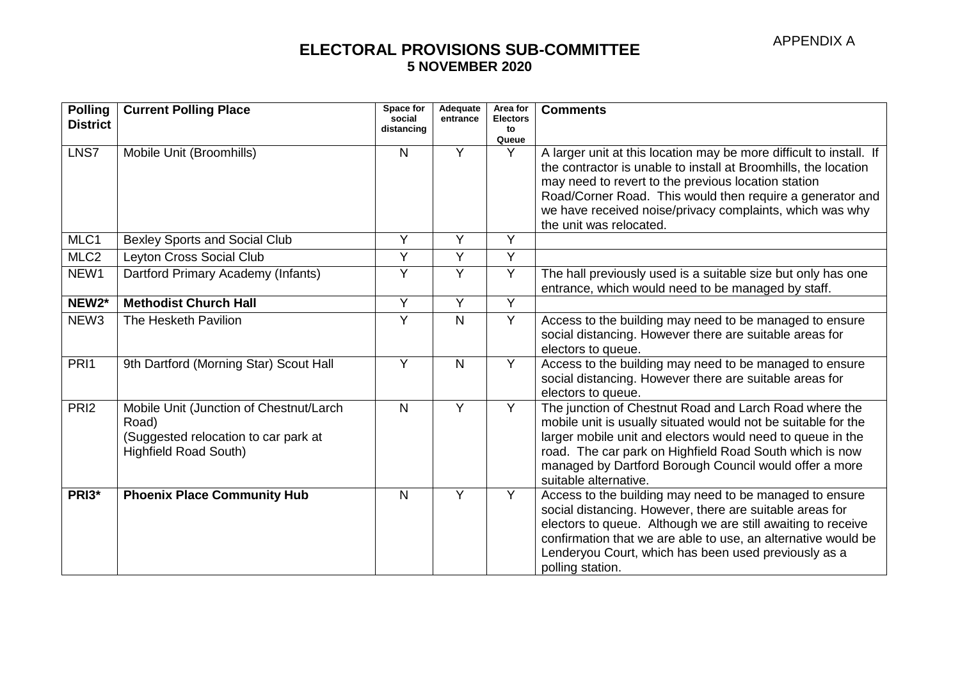| <b>Polling</b><br><b>District</b> | <b>Current Polling Place</b>                                                                                             | Space for<br>social<br>distancing | Adequate<br>entrance | Area for<br><b>Electors</b><br>to | <b>Comments</b>                                                                                                                                                                                                                                                                                                                     |
|-----------------------------------|--------------------------------------------------------------------------------------------------------------------------|-----------------------------------|----------------------|-----------------------------------|-------------------------------------------------------------------------------------------------------------------------------------------------------------------------------------------------------------------------------------------------------------------------------------------------------------------------------------|
|                                   |                                                                                                                          |                                   |                      | Queue                             |                                                                                                                                                                                                                                                                                                                                     |
| LNS7                              | Mobile Unit (Broomhills)                                                                                                 | N                                 | Y                    | Y                                 | A larger unit at this location may be more difficult to install. If<br>the contractor is unable to install at Broomhills, the location                                                                                                                                                                                              |
|                                   |                                                                                                                          |                                   |                      |                                   | may need to revert to the previous location station                                                                                                                                                                                                                                                                                 |
|                                   |                                                                                                                          |                                   |                      |                                   | Road/Corner Road. This would then require a generator and                                                                                                                                                                                                                                                                           |
|                                   |                                                                                                                          |                                   |                      |                                   | we have received noise/privacy complaints, which was why                                                                                                                                                                                                                                                                            |
|                                   |                                                                                                                          |                                   |                      |                                   | the unit was relocated.                                                                                                                                                                                                                                                                                                             |
| MLC1                              | <b>Bexley Sports and Social Club</b>                                                                                     | Y                                 | Y                    | $\overline{Y}$                    |                                                                                                                                                                                                                                                                                                                                     |
| MLC <sub>2</sub>                  | Leyton Cross Social Club                                                                                                 | Y                                 | Y                    | Y                                 |                                                                                                                                                                                                                                                                                                                                     |
| NEW1                              | Dartford Primary Academy (Infants)                                                                                       | Y                                 | Y                    | Y                                 | The hall previously used is a suitable size but only has one<br>entrance, which would need to be managed by staff.                                                                                                                                                                                                                  |
| NEW <sub>2</sub> *                | <b>Methodist Church Hall</b>                                                                                             | Y                                 | Y                    | $\overline{Y}$                    |                                                                                                                                                                                                                                                                                                                                     |
| NEW <sub>3</sub>                  | The Hesketh Pavilion                                                                                                     | Y                                 | $\mathsf{N}$         | Y                                 | Access to the building may need to be managed to ensure<br>social distancing. However there are suitable areas for<br>electors to queue.                                                                                                                                                                                            |
| PRI1                              | 9th Dartford (Morning Star) Scout Hall                                                                                   | Y                                 | $\mathsf{N}$         | Y                                 | Access to the building may need to be managed to ensure<br>social distancing. However there are suitable areas for<br>electors to queue.                                                                                                                                                                                            |
| PRI <sub>2</sub>                  | Mobile Unit (Junction of Chestnut/Larch<br>Road)<br>(Suggested relocation to car park at<br><b>Highfield Road South)</b> | $\mathsf{N}$                      | Y                    | Y                                 | The junction of Chestnut Road and Larch Road where the<br>mobile unit is usually situated would not be suitable for the<br>larger mobile unit and electors would need to queue in the<br>road. The car park on Highfield Road South which is now<br>managed by Dartford Borough Council would offer a more<br>suitable alternative. |
| PRI3*                             | <b>Phoenix Place Community Hub</b>                                                                                       | N                                 | Y                    | Y                                 | Access to the building may need to be managed to ensure<br>social distancing. However, there are suitable areas for<br>electors to queue. Although we are still awaiting to receive<br>confirmation that we are able to use, an alternative would be<br>Lenderyou Court, which has been used previously as a<br>polling station.    |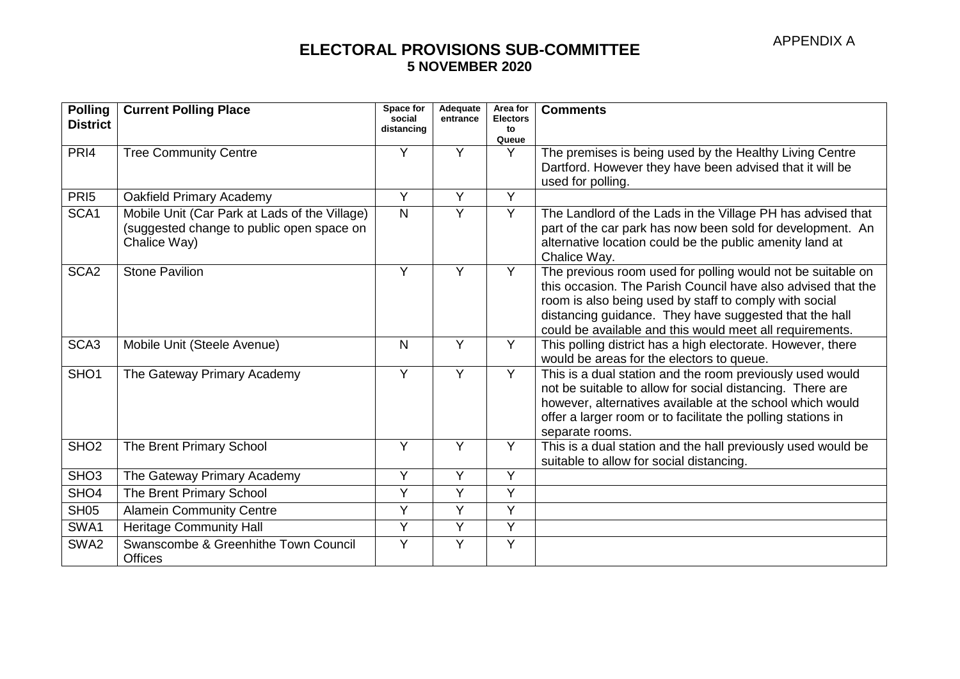| <b>Polling</b><br><b>District</b> | <b>Current Polling Place</b>                                                                               | Space for<br>social<br>distancing | Adequate<br>entrance | Area for<br><b>Electors</b><br>to | <b>Comments</b>                                                                                                                                                                                                                                                                                             |
|-----------------------------------|------------------------------------------------------------------------------------------------------------|-----------------------------------|----------------------|-----------------------------------|-------------------------------------------------------------------------------------------------------------------------------------------------------------------------------------------------------------------------------------------------------------------------------------------------------------|
|                                   |                                                                                                            |                                   |                      | Queue                             |                                                                                                                                                                                                                                                                                                             |
| PRI <sub>4</sub>                  | <b>Tree Community Centre</b>                                                                               | Y                                 | Y                    | Y                                 | The premises is being used by the Healthy Living Centre<br>Dartford. However they have been advised that it will be<br>used for polling.                                                                                                                                                                    |
| PRI <sub>5</sub>                  | Oakfield Primary Academy                                                                                   | Y                                 | Y                    | Y                                 |                                                                                                                                                                                                                                                                                                             |
| SCA1                              | Mobile Unit (Car Park at Lads of the Village)<br>(suggested change to public open space on<br>Chalice Way) | N                                 | Y                    | Y                                 | The Landlord of the Lads in the Village PH has advised that<br>part of the car park has now been sold for development. An<br>alternative location could be the public amenity land at<br>Chalice Way.                                                                                                       |
| SCA <sub>2</sub>                  | <b>Stone Pavilion</b>                                                                                      | Y                                 | Y                    | Y                                 | The previous room used for polling would not be suitable on<br>this occasion. The Parish Council have also advised that the<br>room is also being used by staff to comply with social<br>distancing guidance. They have suggested that the hall<br>could be available and this would meet all requirements. |
| SCA <sub>3</sub>                  | Mobile Unit (Steele Avenue)                                                                                | N                                 | Y                    | Y                                 | This polling district has a high electorate. However, there<br>would be areas for the electors to queue.                                                                                                                                                                                                    |
| SHO <sub>1</sub>                  | The Gateway Primary Academy                                                                                | Y                                 | Y                    | $\overline{Y}$                    | This is a dual station and the room previously used would<br>not be suitable to allow for social distancing. There are<br>however, alternatives available at the school which would<br>offer a larger room or to facilitate the polling stations in<br>separate rooms.                                      |
| SHO <sub>2</sub>                  | The Brent Primary School                                                                                   | Y                                 | Y                    | Y                                 | This is a dual station and the hall previously used would be<br>suitable to allow for social distancing.                                                                                                                                                                                                    |
| SHO <sub>3</sub>                  | The Gateway Primary Academy                                                                                | Y                                 | Y                    | Y                                 |                                                                                                                                                                                                                                                                                                             |
| SHO <sub>4</sub>                  | The Brent Primary School                                                                                   | Y                                 | Y                    | Y                                 |                                                                                                                                                                                                                                                                                                             |
| <b>SH05</b>                       | <b>Alamein Community Centre</b>                                                                            | Y                                 | $\overline{Y}$       | $\overline{Y}$                    |                                                                                                                                                                                                                                                                                                             |
| SWA1                              | <b>Heritage Community Hall</b>                                                                             | Y                                 | $\overline{Y}$       | Y                                 |                                                                                                                                                                                                                                                                                                             |
| SWA2                              | Swanscombe & Greenhithe Town Council<br><b>Offices</b>                                                     | Y                                 | Y                    | Y                                 |                                                                                                                                                                                                                                                                                                             |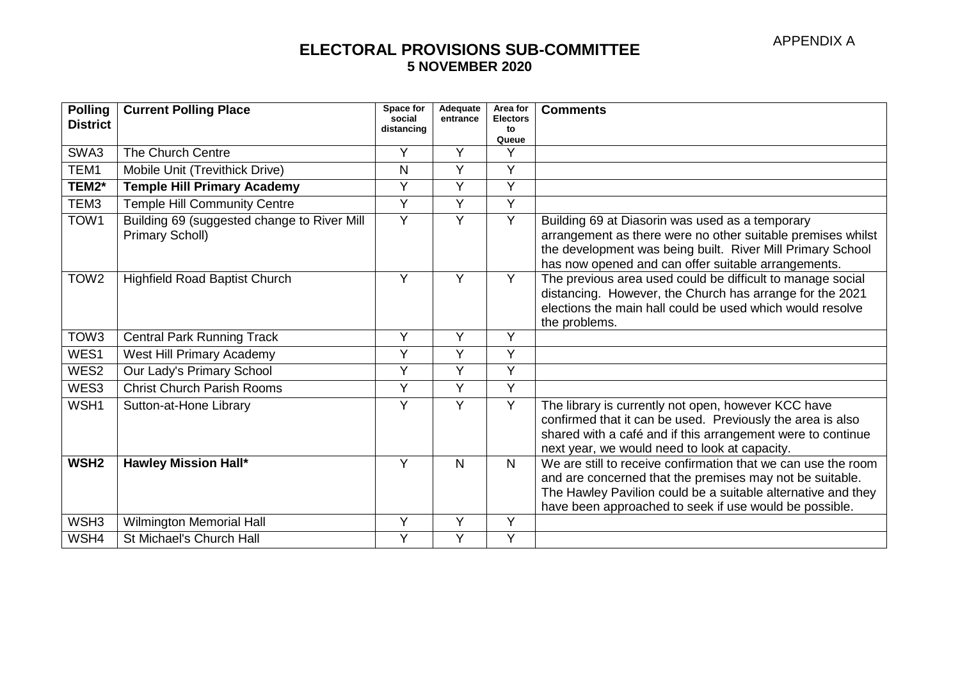| <b>Polling</b><br><b>District</b> | <b>Current Polling Place</b>                                   | Space for<br>social<br>distancing | Adequate<br>entrance | Area for<br><b>Electors</b><br>to<br>Queue | <b>Comments</b>                                                                                                                                                                                                                                     |
|-----------------------------------|----------------------------------------------------------------|-----------------------------------|----------------------|--------------------------------------------|-----------------------------------------------------------------------------------------------------------------------------------------------------------------------------------------------------------------------------------------------------|
| SWA3                              | The Church Centre                                              | Y                                 | Y                    | Υ                                          |                                                                                                                                                                                                                                                     |
| TEM1                              | Mobile Unit (Trevithick Drive)                                 | N                                 | Y                    | Y                                          |                                                                                                                                                                                                                                                     |
| TEM2*                             | <b>Temple Hill Primary Academy</b>                             | Y                                 | Y                    | Y                                          |                                                                                                                                                                                                                                                     |
| TEM <sub>3</sub>                  | <b>Temple Hill Community Centre</b>                            | Y                                 | Y                    | Y                                          |                                                                                                                                                                                                                                                     |
| TOW1                              | Building 69 (suggested change to River Mill<br>Primary Scholl) | Ý                                 | Y                    | $\overline{Y}$                             | Building 69 at Diasorin was used as a temporary<br>arrangement as there were no other suitable premises whilst<br>the development was being built. River Mill Primary School<br>has now opened and can offer suitable arrangements.                 |
| TOW <sub>2</sub>                  | <b>Highfield Road Baptist Church</b>                           | Y                                 | Y                    | Y                                          | The previous area used could be difficult to manage social<br>distancing. However, the Church has arrange for the 2021<br>elections the main hall could be used which would resolve<br>the problems.                                                |
| TOW <sub>3</sub>                  | <b>Central Park Running Track</b>                              | Y                                 | Y                    | Y                                          |                                                                                                                                                                                                                                                     |
| WES1                              | West Hill Primary Academy                                      | Y                                 | Y                    | Y                                          |                                                                                                                                                                                                                                                     |
| WES2                              | Our Lady's Primary School                                      | Y                                 | Y                    | Y                                          |                                                                                                                                                                                                                                                     |
| WES3                              | <b>Christ Church Parish Rooms</b>                              | Y                                 | Y                    | Y                                          |                                                                                                                                                                                                                                                     |
| WSH1                              | Sutton-at-Hone Library                                         | Ý                                 | Y                    | Y                                          | The library is currently not open, however KCC have<br>confirmed that it can be used. Previously the area is also<br>shared with a café and if this arrangement were to continue<br>next year, we would need to look at capacity.                   |
| WSH <sub>2</sub>                  | <b>Hawley Mission Hall*</b>                                    | Y                                 | $\mathsf{N}$         | $\mathsf{N}$                               | We are still to receive confirmation that we can use the room<br>and are concerned that the premises may not be suitable.<br>The Hawley Pavilion could be a suitable alternative and they<br>have been approached to seek if use would be possible. |
| WSH <sub>3</sub>                  | Wilmington Memorial Hall                                       | Y                                 | Y                    | Y                                          |                                                                                                                                                                                                                                                     |
| WSH4                              | St Michael's Church Hall                                       | Y                                 | Y                    | Y                                          |                                                                                                                                                                                                                                                     |